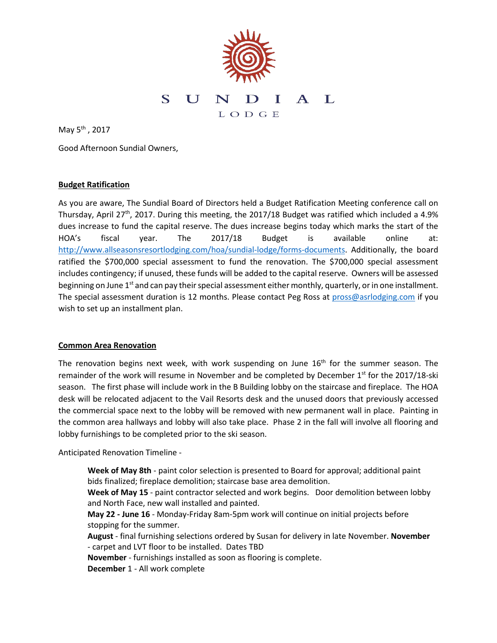

May 5th , 2017

Good Afternoon Sundial Owners,

### **Budget Ratification**

As you are aware, The Sundial Board of Directors held a Budget Ratification Meeting conference call on Thursday, April 27<sup>th</sup>, 2017. During this meeting, the 2017/18 Budget was ratified which included a 4.9% dues increase to fund the capital reserve. The dues increase begins today which marks the start of the HOA's fiscal year. The 2017/18 Budget is available online at: [http://www.allseasonsresortlodging.com/hoa/sundial-lodge/forms-documents.](http://www.allseasonsresortlodging.com/hoa/sundial-lodge/forms-documents) Additionally, the board ratified the \$700,000 special assessment to fund the renovation. The \$700,000 special assessment includes contingency; if unused, these funds will be added to the capital reserve. Owners will be assessed beginning on June  $1<sup>st</sup>$  and can pay their special assessment either monthly, quarterly, or in one installment. The special assessment duration is 12 months. Please contact Peg Ross at [pross@asrlodging.com](mailto:pross@asrlodging.com) if you wish to set up an installment plan.

### **Common Area Renovation**

The renovation begins next week, with work suspending on June  $16<sup>th</sup>$  for the summer season. The remainder of the work will resume in November and be completed by December 1<sup>st</sup> for the 2017/18-ski season. The first phase will include work in the B Building lobby on the staircase and fireplace. The HOA desk will be relocated adjacent to the Vail Resorts desk and the unused doors that previously accessed the commercial space next to the lobby will be removed with new permanent wall in place. Painting in the common area hallways and lobby will also take place. Phase 2 in the fall will involve all flooring and lobby furnishings to be completed prior to the ski season.

Anticipated Renovation Timeline -

**Week of May 8th** - paint color selection is presented to Board for approval; additional paint bids finalized; fireplace demolition; staircase base area demolition.

**Week of May 15** - paint contractor selected and work begins. Door demolition between lobby and North Face, new wall installed and painted.

**May 22 - June 16** - Monday-Friday 8am-5pm work will continue on initial projects before stopping for the summer.

**August** - final furnishing selections ordered by Susan for delivery in late November. **November** - carpet and LVT floor to be installed. Dates TBD

**November** - furnishings installed as soon as flooring is complete.

**December** 1 - All work complete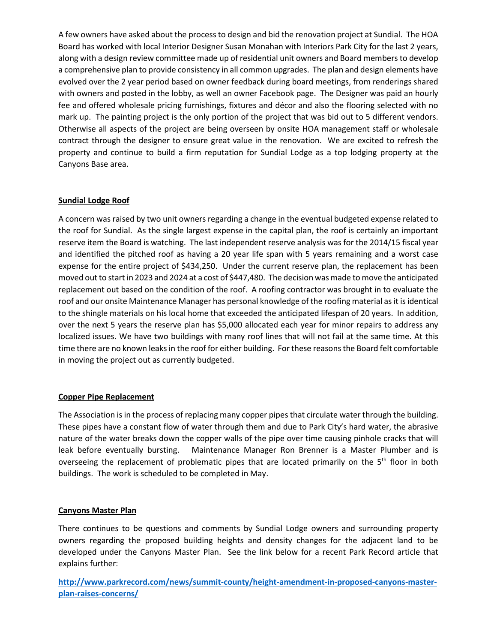A few owners have asked about the process to design and bid the renovation project at Sundial. The HOA Board has worked with local Interior Designer Susan Monahan with Interiors Park City for the last 2 years, along with a design review committee made up of residential unit owners and Board members to develop a comprehensive plan to provide consistency in all common upgrades. The plan and design elements have evolved over the 2 year period based on owner feedback during board meetings, from renderings shared with owners and posted in the lobby, as well an owner Facebook page. The Designer was paid an hourly fee and offered wholesale pricing furnishings, fixtures and décor and also the flooring selected with no mark up. The painting project is the only portion of the project that was bid out to 5 different vendors. Otherwise all aspects of the project are being overseen by onsite HOA management staff or wholesale contract through the designer to ensure great value in the renovation. We are excited to refresh the property and continue to build a firm reputation for Sundial Lodge as a top lodging property at the Canyons Base area.

# **Sundial Lodge Roof**

A concern was raised by two unit owners regarding a change in the eventual budgeted expense related to the roof for Sundial. As the single largest expense in the capital plan, the roof is certainly an important reserve item the Board is watching. The last independent reserve analysis was for the 2014/15 fiscal year and identified the pitched roof as having a 20 year life span with 5 years remaining and a worst case expense for the entire project of \$434,250. Under the current reserve plan, the replacement has been moved out to start in 2023 and 2024 at a cost of \$447,480. The decision was made to move the anticipated replacement out based on the condition of the roof. A roofing contractor was brought in to evaluate the roof and our onsite Maintenance Manager has personal knowledge of the roofing material as it is identical to the shingle materials on his local home that exceeded the anticipated lifespan of 20 years. In addition, over the next 5 years the reserve plan has \$5,000 allocated each year for minor repairs to address any localized issues. We have two buildings with many roof lines that will not fail at the same time. At this time there are no known leaks in the roof for either building. For these reasons the Board felt comfortable in moving the project out as currently budgeted.

### **Copper Pipe Replacement**

The Association is in the process of replacing many copper pipes that circulate water through the building. These pipes have a constant flow of water through them and due to Park City's hard water, the abrasive nature of the water breaks down the copper walls of the pipe over time causing pinhole cracks that will leak before eventually bursting. Maintenance Manager Ron Brenner is a Master Plumber and is overseeing the replacement of problematic pipes that are located primarily on the  $5<sup>th</sup>$  floor in both buildings. The work is scheduled to be completed in May.

### **Canyons Master Plan**

There continues to be questions and comments by Sundial Lodge owners and surrounding property owners regarding the proposed building heights and density changes for the adjacent land to be developed under the Canyons Master Plan. See the link below for a recent Park Record article that explains further:

**[http://www.parkrecord.com/news/summit-county/height-amendment-in-proposed-canyons-master](http://www.parkrecord.com/news/summit-county/height-amendment-in-proposed-canyons-master-plan-raises-concerns/)[plan-raises-concerns/](http://www.parkrecord.com/news/summit-county/height-amendment-in-proposed-canyons-master-plan-raises-concerns/)**